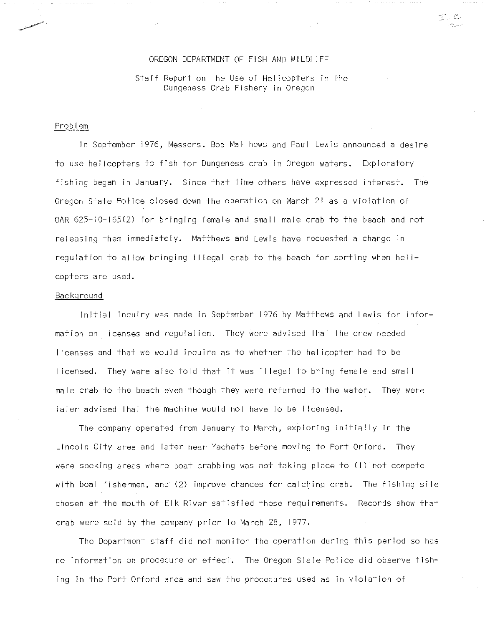### OREGON DEPARTMENT OF FISH AND WILDLIFE OREGON DEPARTMENT OF FISH AND WILDLIFE

i.

 $\alpha=\alpha-\alpha+\alpha+\alpha$ 

Staff Report on the Use of Helicopters in the Staff Report on the Use of Hel icopters in the Dungeness Crab Fishery in Oregon Dungeness Crab Fishery in Oregon

### Problem

In September 976, Messers. Bob Matthews and Paul Lewis announced a desire In September 1976, Messers. Bob Matthews and Paul Lewis announced a desire to use helicopters to fish for Dungeness crab in Oregon waters. Exploratory to use hel icopters to fish for Dungeness crab in Oregon waters. Exploratory Fishing began in January. Since that time others have expressed interest. The fishing began in January. Since that time others have expressed interest. The Oregon State Police closed down the operation on March 21 as a violation of Oregon State Pol ice closed down the operation on March 21 as a violation of OAR 625-10-165(2) for bringing female and small male crab to the beach and not OAR 625-10-165(2) for bringing female and smal I male crab to the beach and not releasing them immediately. Matthews and Lewis have requested a change in releasing them immediately. Matthews and Lewis have requested a change in regulation to allow bringing illegal crab to the beach for sorting when heli-regulation to al low bringing i I legal crab to the beach for sorting when hel **i**copters are used. copters a re used.

### Backg round Backg round

Initial inquiry was made in September 1976 by Matthews and Lewis for infor-Initial inquiry was made in September 1976 by Matthews and Lewis for information on licenses and regulation. They Were advised that the crew needed mation on Iicenses and regulation. They were advised that the crew needed licenses and that we would inquire as to whether the helicopter had to be Iicenses and that we would inquire as to whether the hel icopter had to be licensed. They were also told that it was illegal to bring female and small Iicensed. They were aiso told that it was i I legal to bring female and smal I male crab to the beach even though they were returned to the water. They were male crab to the beach even though they were returned to the water. They were later advised that the machine would not have to be licensed. later advised that the machine would not have to be licensed.

The company operated from January to March, exploring initially in the The company operated from January to March, exploring initially in the Lincoln City area and later near Yachats before moving to Port Orford. They Lincoln City area and later near Yachats before moving to Port Orford. They were seeking areas where boat crabbing was not taking place to (I) not compete were seeking areas where boat crabbing was not taking place to (I) not compete with boat fishermen, and (2) improve chances for catching crab. The fishing site chosen at the mouth of Elk River satisfied these requirements. Records show that chosen at the mouth of Elk River satisfied these requirements. Records show that crab were sold by the company prior to March 28, 1977.

The Department staff did not monitor the operation during this period so has The Department staff did not monitor the operation during this period so has no information on procedure or effect. The Oregon State Police did observe fish-no information on procedure or effect. The Oregon State Pol ice did observe fishing in the Port Orford area and saw the procedures used as in violation of ing in the Port Orford area and saW the procedures used as in violation of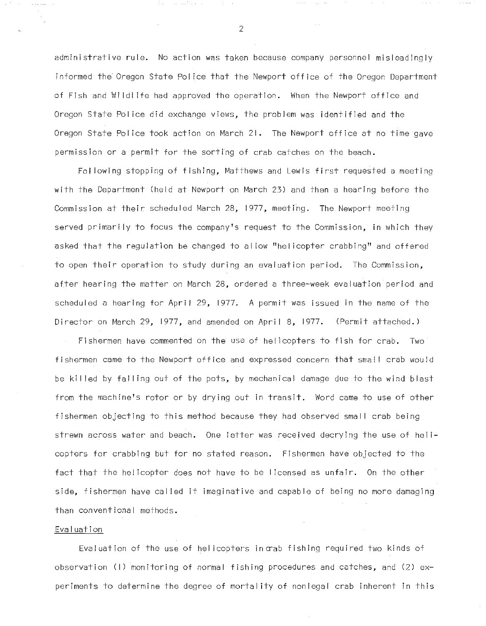administrative rule. No action was taken because company personnel misleadingly administrative rule. No action was taken because company personnel misleadingly informed the Oregon State Police that the Newport office of the Oregon Department informed the Oregon State Pol ice that the Newport office of the Oregon Department of Fish and Wildlife had approved the operation. When the Newport office and Oregon State Police did exchange views, the problem was identified and the Oregon State Pol ice did exchange views, the problem was identified and the Oregon State Police took action on March 21. The Newport office at no tihe gave Oregon State Pol ice took action on March 21. The Newport office at no time gave permission or a permit for the sorting of crab catches on the beach. permission or a permit for the sorting of crab catches on the beach.

Following stopping of fishing, Matthews and Lewis first requested a meeting Fol lowing stopping of fishing, Matthews and Lewis first requested a meeting with the Department (held at Newport on March 23) and then a hearing before the with the Department (held at Newport on March 23) and then a hearing before the Commission at their scheduled March 28, 1977, meeting. The Newport meeting Commission at their scheduled March 28, 1977, meeting. The Newport meeting served primarily to focus the company's request to the Commission, in which they served primari Iy to focus the company's request to the Commission, in which they asked that the regulation be changed to allow "helicopter crabbing" and offered asked that the regulation be changed to al low "hel icopter crabbing" and offered to open their operation to study during an evaluation period. The Commission, to open their operation to study during an evaluation period. The Commission, after hearing the matter on March 28, ordered a three-week evaluation period and after hearing the matter on March 28, ordered a three-week evaluation period and scheduled a hearing for April 29, 1977. A permit was issued in the name of the Director on March 29, 1977, and amended on April 8, 1977. (Fermit attached.) Director on March 29, 1977, and amended on Apri I 8, 1977. (Permit attached.)

Fishermen have commented on the use of helicopters to fish for crab. Two Fishermen have commented on the use of helicopters to fish for crab. Two fishermen came to the Newport office and expressed concern that small crab would fishermen came to the Newport office and expressed concern that sma! I crab would be killed by falling out of the pots, by mechanical damage due to the wind blast be ki Iled by fal ling out of the pots, by mechanical damage due to the wind blast from the machine's rotor or by drying out in transit. Word came to use of other from the machine's rotor or by drying out in transit. Word came to use of other fishermen objecting to this method because they had observed small crab being fishermen objecting to this method because they had observed smal I crab being strewn across water and beach. One letter was recejved decrying the use of heli-strewn across water and beach. One letter was received decrying the use of hel **i**copters for crabbing but for no stated reason. Fishermen have objected to the copters for crabbing but for no stated reason. Fishermen have objected to the fact that the helicopter does not have to be licensed as unfair. On the other fact that the hel icopter does not have to be Iicensed as unfair. On the other side, fishermen have called it imaginative and capable of being no more damaging side, fishermen have cal ied it imaginative and capable of being no more damaging than conventional methods. than conventional methods.

# Evaluation Evaluation

Evaluation of the use of helicopters in crab fishing required two kinds of Evaluation of the use of hel icopters incrab fishing required two kinds of observation (I) monitoring of normal fishing procedures and catches, and (2) ex-observation (I) monitoring of normal fishing procedures and catches, and (2) experiments to determine the degree of mortality of nonlegal crab inherent in this periments to determine the degree of mortal ity of nonlegal crab inherent in this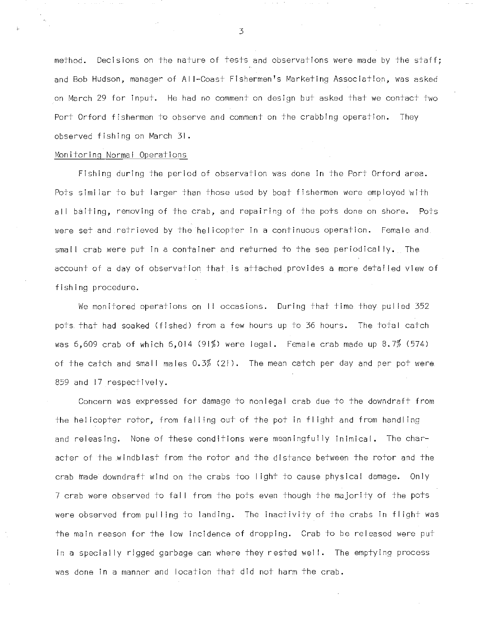method. Decisions on the nature of tests and observations were made by the staff; method. Decisions on the nature of tests and observations were made by the staff; and Bob Hudson, manager of Al I-Coast Fishermen's Marketing Association, was asked and Bob Hudson, manager of AI I-Coast Fishermen's Marketing Association, was asked on March 29 for input. He had no comment on design but asked that we contact two on March 29 for input. He had no comment on design but asked that we contact two Fort Orford fishermen to observe and comment on the crabbing operation. They Port Orford fishermen to observe and comment on the crabbing operation. They observed fishing on March 31. observed fishing on March 31.

### Monitoring Normal Operations Monitoring Normal Operations

Fishing during the period of observation was done in the Fort Orford area. Fishing during the period of observation was done in the Port Orford area. Pots similar to but larger than those used by boat fishermen were employed with all baiting, removing of the crab, and repairing of the pots done on shore. Fots al I baiting, removing of the crab, and repairing of the pots done on shore. Pots were set and retrieved by the helicopter in a continuous operation. Female and were set and retrieved by the hel icopter in a continuous operation. Female and small crab were put in a container and returned to the sea periodically. The smal I crab were put in a container and returned to the sea periodically. The account of a day of observation that is attached provides a more detailed view of account of a day of observation that is attached provides a more detai led view of fishing procedure. fishing procedure.

We monitored operations on II occasions. During that time they pul led 352 We monitored operations on I I occasions. During that time they pul led 352 pots that had soaked (fished) from a few hours up to 36 hours. The total catch pots that had soaked (fished) from a few hours up to 36 hours. The total catch was 6,609 crab of which 6,014 (91%) were legal. Female crab made up 8.7% (574) was 6,609 crab of which 6,Oi4 (91%) were legal. Female crab made up 8.7% (574) of the catch and small males 0.3% (21). The mean catch per day and per pot were 859 and 17 respectively. 859 and 17 respectively.

Concern was expressed for damage to nonlegal crab due to the downdraft from Concern was expressed for damage to nonlegal crab due to the downdraft from the helicopter rotor, from falling out of the pot in flight and from handling and releasing. None of these conditions were meaningfully inimical. The char-and releasing. None ofthese conditions were meaningfully inimical. The character of the windblast from the rotor and the distance between the rotor and the acter of the windblast from the rotor and the distance between the rotor and the crab made downdraft wind on the crabs too light to cause physical damage. Only crab made downdraft wind on the crabs too Iight to cause physical damage. Only 7 crab were observed to fal <sup>I</sup> from the pots even though the majority of the pots 7 crab were observed to fal I from the pots even though the majority of the pots were observed from pulling to landing. The inactivity of the crabs in flight was were observed from pul Iing to landing. The inactivity of the crabs in fl ight was the main reason for the low incidence of dropping. Crab to be released were put the main reason for the low incidence of dropping. Crab to be released were put in a specially rigged garbage can where they rested well. The emptying process in a specially rigged garbage can where they rested wei **I.** The emptying process was done in a manner and location that did not harm the crab. was done in a manner and location that did not harm the crab.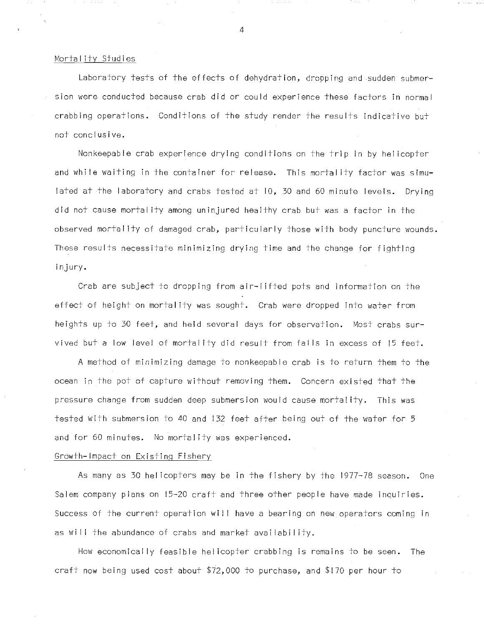# Mortality Studies Mortal ity Studies

Laboratory tests of the effects of dehydration, dropping and sudden submer-Laboratory tests of the effects of dehydration, dropping and sudden submersion were conducted because crab did or could experience these factors in normal sion were conducted because crab did or could experience these factors in normal crabbing operations. Conditions of the study render the results indicative but crabbing operations. Conditions of the study render the results indicative but not conclusive. not conclusive.

NonkeepaHe crab experience drying conditions on the trip in by helicopter Nonkeepable crab experience drying conditions on the trip in by hel icopter and while waiting in the container for release. This mortality factor was simu-and whi Ie waiting in the container for release. This mortal ity factor was simulated at the laboratory and crabs tested at ID, 3C and 60 minute levels. Drying lated at the laboratory and crabs tested at 10, 30 and 60 minute levels. Drying did not cause mortality among uninjured healthy crab but was a factor in the did not cause mortal ity among uninjured healthy crab but was a factor in the observed mortality of damaged crab, particularly those with body puncture wounds observed mortal ity of damaged crab, particularly those with body puncture wounds. These results necessitate minimizing drying time and the change for fighting These results necessitate minimizing drying time and the change for fighting injury. injury.

Crab are subject to dropping from air-lifted pots and information on the Crab are subject to dropping from air-I ifted pots and information on the effect of height on mortal ity was sought. Crab were dropped into water from effect of height on mortal ity was sought. Crab were dropped into water from heights up to 30 feet, and held several days for observation. Most crabs sur-heights up to 30 feet, and held several days for observation. Most crabs survived but a low level of mortality did result from falls in excess of 15 feet.  $\,$ 

A method of minimizing damage to nonkeepable crab is to return them to the A method of minimizing damage to nonkeepable crab is to return them to the ocean in the pot of capture without removing them. Concern existed that the ocean in the pot of capture without removing them. Concern existed that the pressure change from sudden deep submersion would cause mortality. This was pressure change from sudden deep submersion would cause mortal ity. This was tested with submersion to 40 and 132 feet after being out of the water for 5 tested with submersion to 40 and 132 feet after being out of the water for 5 and for 60 minutes. No mortality was experienced. and for 60 minutes. No mortal ity was experienced.

# Growth-Impact on Existing Fishery Growth-Impact on Existing Fishery

As many as 30 helicopters may be in the fishery by the 977-78 season. One As many as 30 hel icopters may be in the fishery by the 1977~78 season. One Salem company plans on 15-20 craft and three other people have made inquiries Salem company plans on 15-20 craft and three other people have made inquiries. Success of the current operation wi <sup>I</sup> have a bearing on new operators coming in Success of the current operation wi 1I have abearing on new operators coming in as will the abundance of crabs and market availability.

How economically feasible helicopter crabbing is remains to be seen. The How economically feasible hel icopter crabbing is remains to be seen. The craft now being used cost about \$72,000 to purchase, and \$170 per hour to craft now being used cost about \$72,000 to purchase, and \$170 per hour to

El 4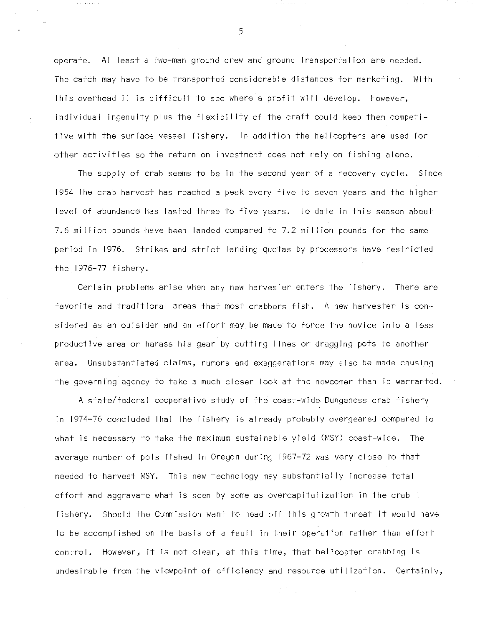operate. At least a two-man ground crew and ground transportation are needed. operate. At least a two-man ground crew and ground transportation are needed. The catdh may have to be transported considerable distances for marketing. With The catch may have to be transported considerable distances for marketing. With this overhead it is difficult to see where a profit will develop. However, this overhead it is difficult to see where a profit wi I I develop. However, individual ingenuity plus the flexibility of the craft could keep them competitive with the surface vessel fishery. In addition the helicopters are used for tive with the surface vessel fishery. In addition the hel icopters are used for other activities so the return on investment does not rely on fishing alone. other activities so the return on investment does not rely on fishing alone.

The supply of crab seems to be in the second year of a recovery cycle. Since The supply of crab seems to be in the second year of a recovery cycle. Since 1954 the crab harvest has reached a peak every five to seven years and the higher 1954 the crab harvest has reached a peak every five to seven years and the higher level of abundance has lasted three to five years. To date in this season about level of abundance has lasted three to five years. To date in this season about 7.6 mi I lion pounds have been landed compared to 7.2 mi I lion pounds for the same 7.6 mi I Iion pounds have been landed compared to 7.2 mil Iion pounds for the same period in 1976. Strikes and strict landing quotas by processors have restricted period in 1976. Strikes and strict landing quotas by processors have restricted the 1976-77 fishery. the 1976-77 fishery.

Certain problems arise when any new harvester enters the fishery. There are Certain problems arise when any new harvester enters the fishery. There are favorite and traditional areas that most crabbers fish. A new harvester is con-favorite and traditional areas that most crabbers fish. A new harvester is considered as an outsider and an effort may be made to force the novice into a less productive area or harass his gear by cutting lines or dragging pots to another productive area or harass his gear by cutting Iines or dragging pots to another area. Unsubstantiated claims, rumors and exaggerations may also be made causing area. Unsubstantiated claims, rumors and exaggerations may also be made causing the governing agency to take a much closer look at the newcomer than is warranted. the governing agency to take a much closer look at the newcomer than is warranted.

A state/federal cooperative study of the coast-wide Dungeness crab fishery A state/federal cooperative study of the coast-wide Dungeness crab fishery in 1974-76 concluded that the fishery is already probably overgeared compared to in 1974-76 concluded that the fishery is already probably overgeared compared to what is necessary to take the maximum sustainable yield (MSY) coast-wide. The what is necessary to take the maximum sustainable yield (MSY) coast-wide. The average number of pots fished in Oregon during 1967-72 was very close to that average number of pots fished in Oregon during 1967-72 was very close to that needed to harvest MSY. This new technology may substantially increase total needed to harvest MSY. This new technology may substantially increase total effort and aggravate what is seen by some as overcapitalization in the crab effort and aggravate what is seen by some as overcapital ization in the crab fishery. Should the Commission want to head off this growth threat it would have fishery. Should the Commission want to head off this growth threat it would have to be accomplished on the basis of a fault in their operation rather than effort control. However, it is not clear, at this time, that helicopter crabbing is control. However, it is not clear, at this time, that hel icopter crabbing is undesirable from the viewpoint of efficiency and resource utilization. Certainly, undesirable from the viewpoint of efficiency and resource uti Iization. Certainly,

 $\frac{1}{2} \frac{\partial}{\partial t} \frac{\partial}{\partial x} = \frac{1}{2} \frac{\partial}{\partial x} \frac{\partial}{\partial y}$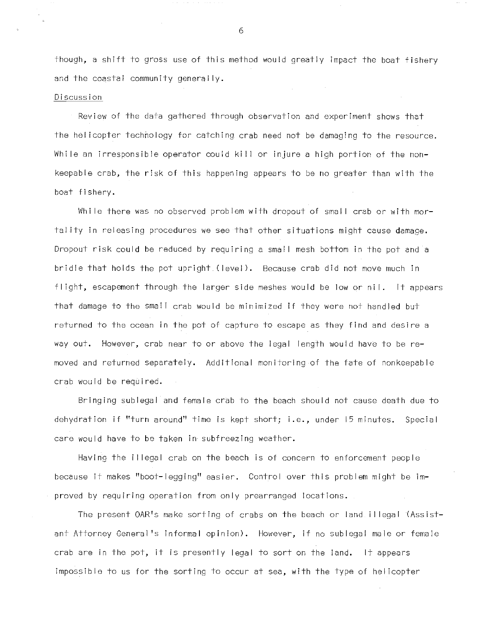though, a shift to gross use of this method would greatly impact the boat fishery and the coastal community generally.

### Discussion

Review of the data gathered through observation and experiment shows that the helicopter technology for catching crab need not be damaging to the resource. While an irresponsible operator could kill or injure a high portion of the nonkeepable crab, the risk of this happening appears to be no greater than with the boat fishery.

While there was no observed problem with dropout of small crab or with mortal ity in releasing procedures we see that other situations might cause damage. Dropout risk could be reduced by requiring a small mesh bottom in the pot and a bridle that holds the pot upright (level). Because crab did not move much in flight, escapement through the larger side meshes would be low or nil. It appears that damage to the small crab would be minimized if they were not handled but returned to the ocean in the pot of capture to escape as they find and desire a way out. However, crab near to or above the legal length would have to be removed and returned separately. Additional monitoring of the fate of nonkeepable crab would be required.

Bringing sublegal and female crab to the beach should not cause death due to dehydration if "turn around" time is kept short; i.e., under 15 minutes. Special care would have to be taken in subfreezing weather.

Having the <sup>i</sup> I legal crab on the beach is of concern to enforcement people because it makes "boot-legging" easier. Control over this problem might be improved by requiring operation from only prearranged locations.

The present OAR's make sorting of crabs on the beach or land illegal (Assistant Attorney General's informal opinion). However, if no sublegal male or female crab are in the pot, it is presently legal to sort on the land. It appears impossible to us for the sorting to occur at sea, with the type of helicopter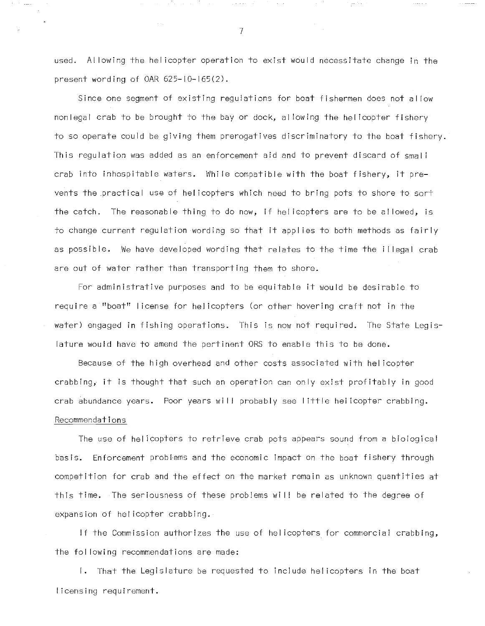used. Al lowing the helicopter operation to exist would necessitate change in the used. Al lowing the hel icopter operation to exist would necessitate change in the present wording of OAR 625-10-165(2). present wording of OAR 625-10-165(2).

Since one segment of existing regulations for boat fishermen does not allow Since one segment of existing regulations for boat fishermen does not al low nonlegal crab to be brought to the bay or dock, allowing the helicopter fishery nonlegal crab to be brought to the bay or dock, al lowing the hel icopter fishery to so operate could be giving them prerogatives discriminatory to the boat fishery. to so operate could be giving them prerogatives discriminatory to the boat fishery. This regulation was added as an enforcement aid and to prevent discard of small This regulation was added as an enforcement aid and to prevent discard of smal I crab into inhospitable waters. While compatible with the boat fishery, it pre-crab into inhospitable waters. Whi Ie compatible with the boat fishery, it prevents the practical use of helicopters which need to bring pots to shore to sort vents the practical use of hel icopters which need to bring pots to shore to sort the catch. The reasonable thing to do now, if helicopters are to be allowed, is the catch. The reasonable thing to do now, if hel icopters are to be al lowed, is to change current regulation wording so +hat it applies to both methods as fairly to change current regulation wording so that it appl ies to both methods as fairly as possible. We have developed wording that relates to the time the illegal crab as possible. We have developed wording that relates to the time the i I legal crab are out of water rather than transporting them to shore. are out of water rather than transporting them to shore.

For administrative purposes and to be equitable it would be desirable to For administrative purposes and to be equitable it would be desirable to require a "boat" license for helicopters (or other hovering craft not in the require a "boat" Iicense for hel icopters (or other hovering craft not in the water) engaged in fishing operations. This is now not required. The State Legis-water) engaged in fishing operations. This is now not required. The State Legislature would have to amend the pertinent ORS to enable this to be done. lature would have to amend the pertinent ORS to enable this to be done.

Because of the high overhead and other costs associated with hel icopter Because of the high overhead and other costs associated with hel icopter crabbing, it is thought that such an operation can only exist profitably in good crabbing, it is thought that such an operation can only exist profitably in good crab abundance years. Foor years wi II probably see I ittle helicopter crabbing. crab abundance years. Poor years wi I I probably see little hel icopter crabbing. Recommendations Recommendations

The use of helicopters to retrieve crab pots appears sound from a biological The use of helicopters to retrieve crab pots appears sound from a biological basis. Enforcement problems and the economic impact on the boat fishery through basis. Enforcement problems and the economic impact on the boat fishery through competition for crab and the effect on the market remain as unknown quantities at competition for crab and the effect on the market remain as unknown quantities at this time. The seriousness of these problems will be related to the degree of this time. The seriousness of these problems wi I I be related to the degree of expansion of helicopter crabbing. expansion of hel icopter crabbing.

If the Commission authorizes the use of helicopters for commercial crabbing, If the Commission authorizes the use of hel icopters for commercial crabbing, the fol lowing recommendations are made: the fol lowing recommendations are made:

I. That the Legislature be requested to include helicopters in the boat I. That the Legislature be requested to include hel icopters in the boat icensing requirement. Iicensing requirement.

'4 7

 $\sim 100$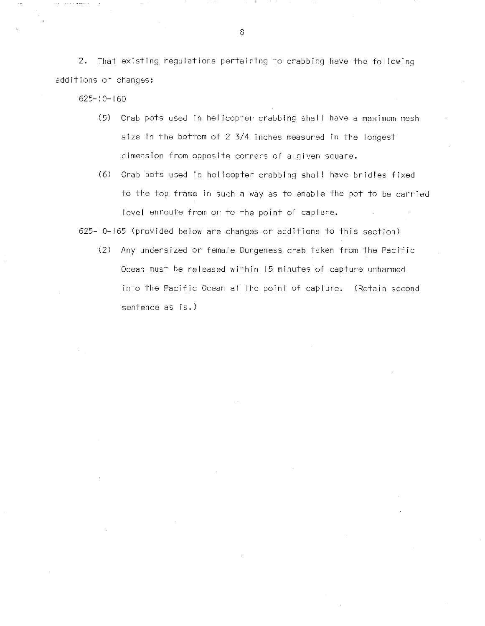2. That existing regulations pertaining to crabbing have the following **2.** That existing regulations pertaining to crabbing have the fol lowing additions or changes: additions or changes:

625- 0-160 625-10-160

- (5) Crab pots used in helicopter crabbing shall have a maximum mesh (5 ) Crab pots used in hel icopter crabbing sha II have a **maximum** mesh size in the bottom of 2 3/4 inches measured in the longest **size** in the bottom of 2 3/4 inches measured in the longest dimension from opposite corners of a given square.
- (6) Crab pots used in helicopter crabbing shall have bridles fixed (6 ) Crab pots used in hel icopter crabbing shal I have bridles fixed to the top frame in such a way as to enable the pot to be carried to the top frame in such a way as to enable the pot to be carried level enroute from or to the point of capture. level enroute from or to the point of capture.

625-10H65 (provided below are changes or additions to this section) 625-10-165 (provided below are changes or additions to this section)

(2) Any undersized or female Dungeness crab taken from the Pacific (2) Any undersized or female Dungeness crab taken from the Pacific Ocean must be released within 15 minutes of capture unharmed Ocean must be released within 15 minutes of capture unharmed into the Pacific Ocean at the point of capture. (Retain second sentence as is.) sentence as is.)

8 and 20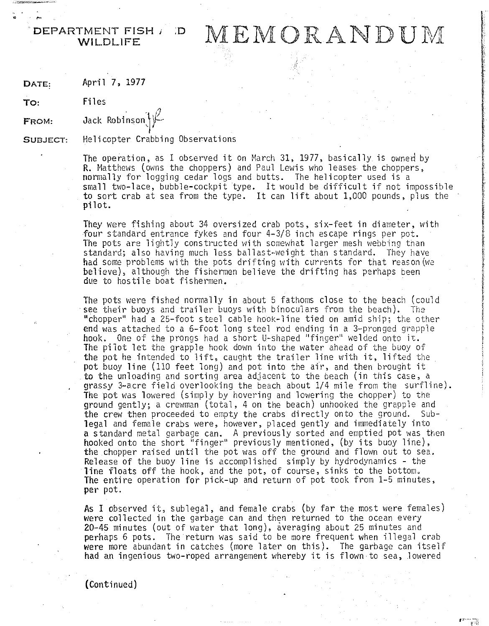DEPARTMENT FISH  $\mu$  :D<br>WILDLIFE

TMENT FISH / D MEMORANDUM

DATE: April 7, 1977 April 7, 1977 DATE:

To: Files Files To:

. ,..

FROM: Jack Robinson $\{\psi\}$ FROM:

SUBJECT:

SUBJECT: Helicopter Crabbing Observations Helicopter Crabbing Observations

The operation, as I observed it on March 31, 1977, basically is owned by **R.** Matthews (owns the choppers) and Paul Lewis who leases the choppers,  $\qquad \qquad$ normally for logging cedar logs and butts. The helicopter used is a normally for logging cedar logs and butts. The helicopter used is a small two-lace, bubble-cockpit type. It would be difficult if not impossible small two-lace, bubble-cockpit type. It would be difficult if not impossible to sort crab at sea from the type. It can lift about 1,000 pounds, plus the to sort crab at sea from the type. It can lift about 1,000 pounds, plus the pilot. pilot.

They were fishing about 34 oversized crab pots, six-feet in diameter, with  $\qquad \qquad \mid$ four standard entrance fykes and four 4-3/8 inch escape rings per pot. four standard entrance fykes and four 4-3/8 inch escape rings per pot. The pots are lightly constructed with somewhat larger mesh webbing than standard; also having much less ballast-weight than standard. They have standard; also having much less ballast-weight than standard. They have had some problems with the pots drifting with currents for that reason(we state of believe), although the fishermen believe the drifting has perhaps been believe), although the fishermen believe the drifting has perhaps been due to hostile boat fishermen. due to hostile boat fishermen.

The pots were fished normally in about 5 fathoms close to the beach (could ...<br>see their buoys and trailer buoys with binoculars from the beach). The see their buoys and trailer buoys with binoculars from the beach). The "chopper" had a 25-foot steel cable hook-line tied on amid ship; the other "Chopper" had a 25-foot steel cable hook-line tied on amid ship; the other end was attached to a 6-foot long steel rod ending in a 3-pronged grapple end was attached to a 6-foot long steel rod ending in a 3-pronged grapple hook. One of the prongs had a short Ushaped "finger" welded onto it. hook. One of the prongs had a short U-shaped "fi nger" welded onto it. The pilot let the grapple hook down into the water ahead of the buoy of The pilot let the grapple hook down into the water ahead of the buoy of the pot he intended to lift, caught the trailer line with it, lifted the pot buoy line (110 feet long) and pot into the air, and then brought it pot buoy line (110 feet long) and pot into the air, and then brought it to the unloading and sorting area adjacent to the beach (in this case, a to the unloading and sorting area adjacent to the beach (in this case, a grassy 3-acre field overlooking the beach about 1/4 mile from the surfline) grassy 3-acre field overlooking the beach about 1/4 mile from the surfline). The pot was lowered (simply by hovering and lowering the chopper) to the The pot was lowered (simply by hovering and lowering the chopper) to the ground gently; a crewman (total , 4 on the beach) unhooked the grapple and ground gently; a crewman (total, 4 on the beach) unhooked the grapple and the crew then proceeded to empty the crabs directly onto the ground. Sub-the crew then proceeded to empty the crabs directly onto the ground. Sublegal and female crabs were, however, placed gently and immediately into legal and female crabs were, however, placed gently and immediately into a standard metal garbage can. A previously sorted and emptied pot was then a standard metal garbage can. A previously sorted and emptied pot was then hooked onto the short "finger" previously mentioned, (by its buoy line), hooked onto the short "finger" previously mentioned, (by its buoy line), the chopper raised until the pot was off the ground and flown out to sea. the chopper raised until the pot was off the ground and flown out to sea. Release of the buoy line is accomplished simply by hydrodynamics - the line floats off the hook, and the pot, of course, sinks to the bottom. The entire operation for pick-up and return of pot took from 1-5 minutes, The entire operation for pick-up and return of pot took from 1-5 minutes, per pot. per pot.

As I observed it, sublegal, and female crabs (by far the most were females) As I observed it, sublegal, and female crabs (by far the most were females) were collected in the garbage can and then returned to the ocean every were collected in the garbage can and then returned to the ocean every 20-45 minutes (out of water that long), averaging about 25 minutes and 20-45 minutes (out of water that long), averaging about 25 minutes and perhaps 6 pots. The return was said to be more frequent when illegal crab perhaps 6 pots. The return was said to be more frequent when illegal crab were more abundant in catches (more later on this). The garbage can itself were more abundant in catches (more later on this). The garbage can itself were more abundant in catches (more rater on this). The garbage can riseri<br>had an ingenious two-roped arrangement whereby it is flown to sea, lowered

(Continued) (Continued)

 $\mathbf{I}^{\infty} = \ldots \times$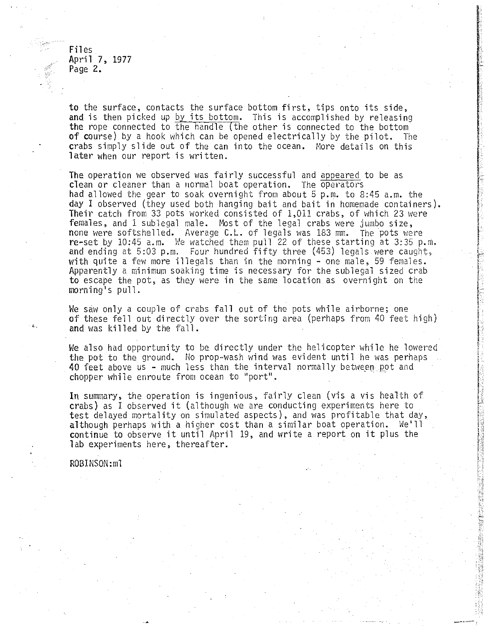Files Files April 7, 1977 April 7, 1977 Page 2. Page 2.

to the surface, contacts the surface bottom first, tips onto its side, to the surface, contacts the surface bottom first, tips onto its side, and is then picked up by its bottom. This is accomplished by releasing the rope connected to the handle (the other is connected to the bottom of course) by a hook which can be opened electrically by the pilot. The of course) by a hook which can be opened electrically by the pilot. The crabs simply slide out of the can into the ocean. More details on this crabs simply slide out of the can into the ocean. More details on this later when our report is written. later when our report is written.

The operation we observed was fairly successful and <u>appeared</u> to be as clean or cleaner than a normal boat operation. The operators clean or cleaner than a 1I0rmal boat operation. The opel'ators had allowed the gear to soak overnight from about 5 p.m. to 8:45 a.m. the had allowed the gear to soak overnight from about 5 p.m. to 8:45 a.m. the day I observed (they used both hanging bait and bait in homemade containers).  $\qquad$ Their catch from 33 pots worked consisted of 1,011 crabs, of which 23 were Their catch from 33 pots worked consisted of 1,011 crabs, of which 23 were females, and 1 subiegal male. Most of the legal crabs were jumbo size, females, and 1 sublegal male. Most ofthe legal crabs were jumbo size, none were softshelled. Average C.L. of legals was 183 mm. The pots were <code>re-set</code> by 10:45 a.m. We watched them <code>pull 22</code> of these starting at 3:35 p.m.  $\qquad \qquad \}$ and ending at 5:03 p.m. Four hundred fifty three (453) legals were caught, and ending at 5:03 p.m. Four hundred fifty three (453) legals were caught, with quite a few more illegals than in the morning - one male, 59 females. with quite a few more illegals than in the morning - one male, 59 females. Apparently a minimum soaking time is necessary for the sublegal sized crab Apparently a minimum soaking time is necessary for the sublegal sized crab to escape the pot, as they were in the same location as overnight on the to escape the pot, as they were in the same location as overnight on the morning's pull. morning's pull.

We saw only a couple of crabs fall out of the pots while airborne; one We saw only a couple of crabs fallout of the pots while airborne; one of these fell out directly over the sorting area (perhaps from 40 feet high)  $\qquad \qquad \Big\}$ and was killed by the fall. and was killed by the fall.

We also had opportunity to be directly under the helicopter while he lowered We also had opportunity to be directly under the helicopter while he lowered the pot to the ground. No prop-wash wind was evident until he was perhaps was the synch was perhaps was perhaps 40 feet above us – much less than the interval normally between pot and  $\blacksquare$ chopper while enroute from ocean to "port", chopper while enroute from ocean to "port".

In summary, the operation is ingenious, fairly clean (vis a vis health of In summary, the operation is ingenious, fairly clean (vis a vis health of crabs) as I observed it (although we are conducting experiments here to crabs) as <sup>I</sup> observed it (although we are conducting experiments here to test delayed mortality on simulated aspects), and was profitable that day, test delayed mortality on simulated aspects), and was profitable that day, although perhaps with a higher cost than a similar boat operation. We'll although perhaps with a higher cost than a similar boat operation. We'll continue to observe it until April 19, and write a report on it plus the continue to observe it until April 19, and write <sup>a</sup> report on it plus the lab experiments here, thereafter. lab experiments here, thereafter.

ROBINSON:ml ROBINSON:ml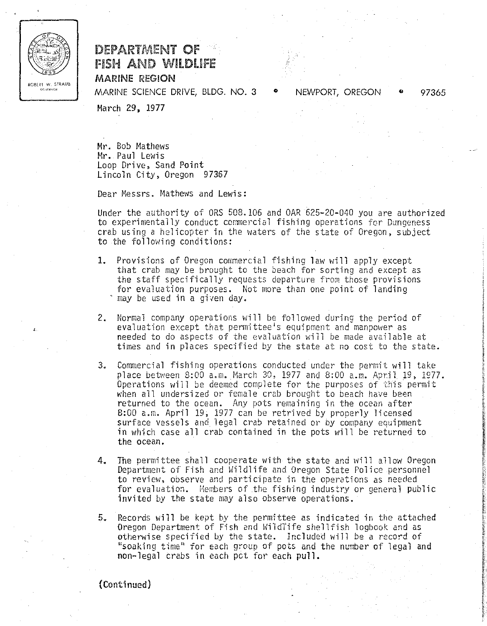

# ROBERT WARINENT OF ASH AND WLDUFE fiSH AND WILDLIFE MARINE REGON MARINE REGION DEPARTMENT OF

MARINE SCIENCE DRIVE, BLDG. NO. 3 MARINE SCIENCE DRIVE, BLDG. NO. 3

° NEWPORT, OREGON ° 97365 .. NEWPORT, OREGON 97365

March 29, 1977 March 29, 1977

Mr. Bob Mathews Mr.. Paul Lewis Mr. Paul Lewis Loop Drive, Sand Point Loop Drive, Sand Point Lincoln City, Oregon 97357 Lincoln City, Oregon 97367

Dear Messrs. Mathews and Lewis: Dear Messrs. Mathews and Lewis:

Under the authority of ORS 508. 106 and OAR 62520-04O you are authorized Under the authority of ORS 508.106 and OAR 625-20-040 you are authorized to experimentally conduct commercial fishing operations for Dungeness crab using a helicopter in the waters of the state of Oregon, subject crab using a helicopter in the waters of the state of Oregon, subject to the following conditions: to the following conditions:

- 1. Provisions of Oregon commercial fishing law will apply except 1. Provisions of Oregon commercial fishing law will apply except that crab may be brought to the beach for sorting and except as that crab may be brought to the beach for sorting and except as the staff specifically requests departure from those provisions for evaluation purposes. Not more than one point of landing for evaluation purposes. Not more than one point of landing may be used in a given day. may be used in a given day.
- 2. Normal company operations will he followed during the period of 2. Normal company operations will be followed during the period of evaluation except that permittee's equipment and manpower as needed to do aspects of the evaluation will he made available at needed to do aspects of the evaluation will be made available at times and in places specified by the state at no cost to the state. times and in places specified by the state at no cost to the state.
- 3. Commercial fishing operations conducted under the permit will take place between 8:00 a.m. March 30, 1977 and 8:00 a.m. April 19, 1977.  $\qquad \qquad \}$ Operations will be deemed complete for the purposes of this permit when all undersized or female crab brought to beach have been when all undersized or female crab brought to beach have been returned to the ocean. Any pots remaining in the ocean after returned to the ocean. Any pots remaining in the ocean after 8:00 a.m. April 19, 1977 can he retrived by properly licensed 8:00 a.m. April 19, 1977 can be retr'ived by properly licensed surface vessels and legal crab retained or by company equipment in which case all crab contained in the pots will be returned to in which case all crab contained in the pots will be returned to the ocean. the ocean.
- 4. The permittee shall cooperate with the state and will allow Oregon Department of Fish and Wildlife and Oregon State Police personnel Department of Fish and Hi1dlife and Oregon State Police personnel to review, observe and participate in the operations as needed for evaluation. Members of the fishing industry or general public invited by the state may also observe operations.
- 5. Records will be kept by the permittee as indicated in the attached Oregon Department of Fish and WildTife shellfish logbook and as otherwise specified by the state. Included will be a record of soaking time" for each group of pots and the number of legal and "soaking time" for each group of pots and the number of legal and non-legal crabs in each pct for each pull. non-legal crabs in each pet for each pull.

(Continued) {Continued)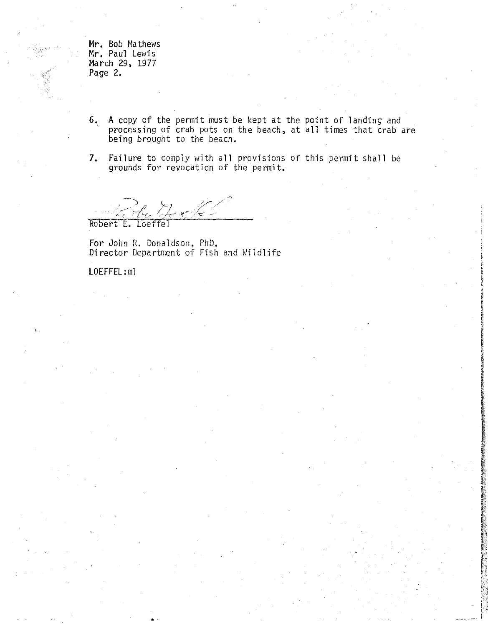Mr. Bob Mathews **Mr.** Bob Ma thews Mr. Paul Lewis **Mr.** Paul Lewis March 29, 1977 March 29, 1977 Page 2. Page **2.**

6. A copy of the permit must be kept at the point of landing and **6.** A copyof the permit must be kept at the point of landing and processing of crab pots on the beach, at all times that crab are processing of crab pots on the beach, at all times that crab are being brought to the beach. being brought to the beach.

a. --.-.

7. Failure to comply with all provisions of this permit shall be **7.** Failure to comply with all provisions of this permit shall be grounds for revocation of the permit. grounds for revocation of the permit.

 $\mathcal{A}$  deck t E. Loeffel

•

For John R, Donaldson, PhD. For John R. Donaldson, PhD. Director Department of Fish and Wildlife Di rector Department of Fi sh and Hil dl ife

LOEFFEL :nil LOEFFEL:ml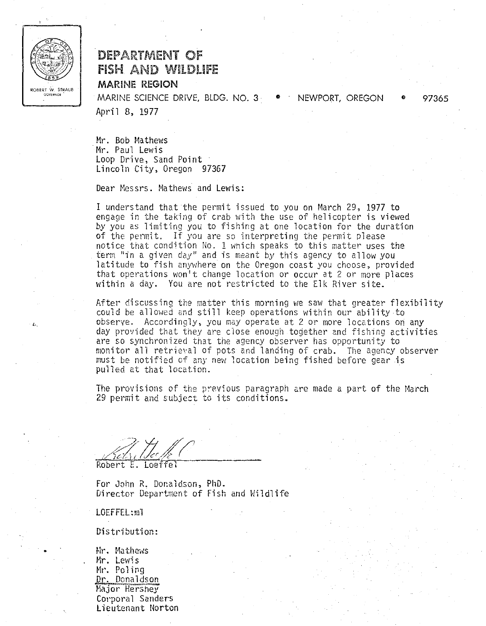

# DEPARTMENT OF fiSH AND WnLDUFE MARINE REGION

OV NO MARINE SCIENCE DRIVE, BLDG. NO. 3 <sup>C</sup> NEWPORT, OREGON 97365 MARINE SCIENCE DRIVE, BLDG. NO.3· .. NEWPORT, OREGON .. 97365 April 8, 1977 April 8, 1977

> $Mr.$  Bob Mathews  $\overline{\phantom{a}}$ Mr. Paul Lewis Mr. Paul Lewis Loop Drive, Sand Point Loop Drive, Sand Point Lincoln City, Oregon 97367 Li nco1n Ci ty, Oregon 97367

Dear Messrs. Mathews and Lewis: Dear Messrs. Mathews and Lewis:

I understand that the permit issued to you on March 29, 1977 to I understand that the permit issued to you on March 29, 1977 to engage in the taking of crab with the use of helicopter is viewed engage in the taking of crab with the use of helicopter is viewed by you as limiting you to fishing at one location for the duration by you as limit'ing you to fishing at one location for the duration of the permit. If you are so interpreting the permit please of the permit, If you are so interpreting the permit please notice that condition No. 1 which speaks to this matter uses the notice that condition No.1 Which speaks to this matter uses the term "in a given day" and is meant by this agency to allow you term "in a given day" and is meant by this agency to allow you latitude to fish anywhere on the Oregon coast you choose, provided that operations won't change location or occur at 2 or more places within a day. You are not restricted to the Elk River site. within a day. You are not restricted to the Elk River site.

After discussing the matter this morning we saw that greater flexibility After discussing the matter this morning we saw that greater flexibility could be allowed and still keep operations within our abilityto could be allowed and still keep operations within our ability·to observe. Accordingly, you may operate at 2 or more locations on any observe. Accordingly, you may operate at 2 or more locations on any day provided that they are close enough together and fishing activities are so synchronized that the agency observer has opportunity to are so synchronized that the agency observer has opportunity to monitor all retrieval of pots and landing of crab. The agency observer monitor all retrieval of pots and landing of crab. The agency observer must be notified of any new location being fished before gear is must be notified of any new location being fished before gear is pulled at that location. pulled at that location.

The provisions of the previous paragraph are made a part of the March 29 permit and subject to its conditions. 29 permit and subject to its conditions.

Robert E. Loeffel

For John R. Donaldson, PhD. For John R. Donaldson, PhD. Director Department of Fish arid Wildlife Director Depat'tment of Fish and Hildlife

LOEFFEL:ml LOEFFEL:1I11

•

Distribution: Oi <sup>5</sup> tri buti on:

a Mr. Mathews Mr. Lewis **Mr.** Mr. Poling Dr. Donaldson Major Hershey Major Hershe)' Corporal Sande**rs** Lieutenant Norton Lieutenant Norton